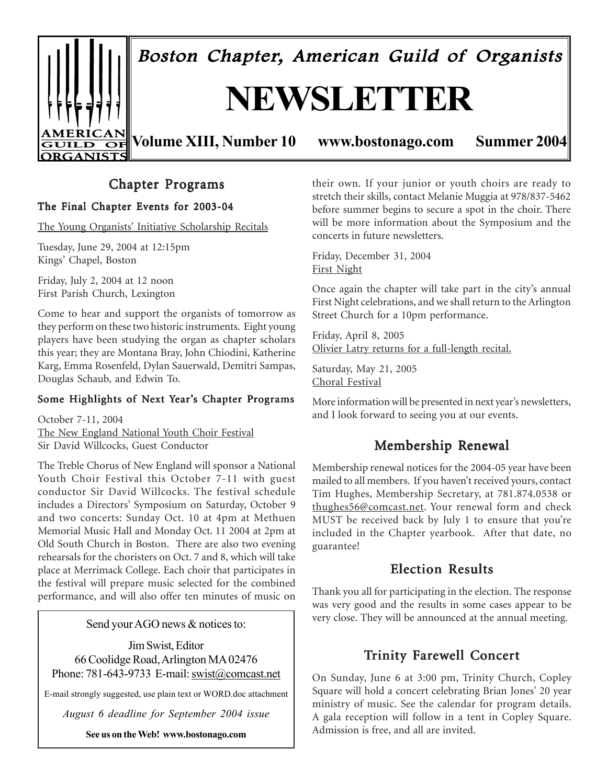

### Chapter Programs

### The Final Chapter Events for 2003-04

The Young Organists' Initiative Scholarship Recitals

Tuesday, June 29, 2004 at 12:15pm Kings' Chapel, Boston

Friday, July 2, 2004 at 12 noon First Parish Church, Lexington

Come to hear and support the organists of tomorrow as they perform on these two historic instruments. Eight young players have been studying the organ as chapter scholars this year; they are Montana Bray, John Chiodini, Katherine Karg, Emma Rosenfeld, Dylan Sauerwald, Demitri Sampas, Douglas Schaub, and Edwin To.

### Some Highlights of Next Year's Chapter Programs

October 7-11, 2004 The New England National Youth Choir Festival Sir David Willcocks, Guest Conductor

The Treble Chorus of New England will sponsor a National Youth Choir Festival this October 7-11 with guest conductor Sir David Willcocks. The festival schedule includes a Directors' Symposium on Saturday, October 9 and two concerts: Sunday Oct. 10 at 4pm at Methuen Memorial Music Hall and Monday Oct. 11 2004 at 2pm at Old South Church in Boston. There are also two evening rehearsals for the choristers on Oct. 7 and 8, which will take place at Merrimack College. Each choir that participates in the festival will prepare music selected for the combined performance, and will also offer ten minutes of music on

Send your AGO news & notices to:

Jim Swist, Editor 66 Coolidge Road, Arlington MA 02476 Phone: 781-643-9733 E-mail: swist@comcast.net

E-mail strongly suggested, use plain text or WORD.doc attachment

*August 6 deadline for September 2004 issue*

**See us on the Web! www.bostonago.com**

their own. If your junior or youth choirs are ready to stretch their skills, contact Melanie Muggia at 978/837-5462 before summer begins to secure a spot in the choir. There will be more information about the Symposium and the concerts in future newsletters.

Friday, December 31, 2004 First Night

Once again the chapter will take part in the city's annual First Night celebrations, and we shall return to the Arlington Street Church for a 10pm performance.

Friday, April 8, 2005 Olivier Latry returns for a full-length recital.

Saturday, May 21, 2005 Choral Festival

More information will be presented in next year's newsletters, and I look forward to seeing you at our events.

### Membership Renewal

Membership renewal notices for the 2004-05 year have been mailed to all members. If you haven't received yours, contact Tim Hughes, Membership Secretary, at 781.874.0538 or thughes56@comcast.net. Your renewal form and check MUST be received back by July 1 to ensure that you're included in the Chapter yearbook. After that date, no guarantee!

### **Election Results**

Thank you all for participating in the election. The response was very good and the results in some cases appear to be very close. They will be announced at the annual meeting.

### Trinity Farewell Concert

On Sunday, June 6 at 3:00 pm, Trinity Church, Copley Square will hold a concert celebrating Brian Jones' 20 year ministry of music. See the calendar for program details. A gala reception will follow in a tent in Copley Square. Admission is free, and all are invited.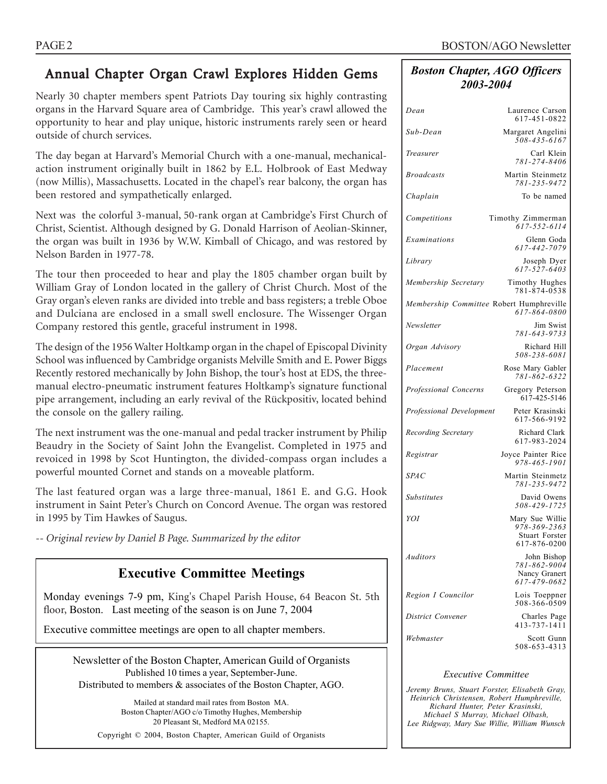### Annual Chapter Organ Crawl Explores Hidden Gems

Nearly 30 chapter members spent Patriots Day touring six highly contrasting organs in the Harvard Square area of Cambridge. This year's crawl allowed the opportunity to hear and play unique, historic instruments rarely seen or heard outside of church services.

The day began at Harvard's Memorial Church with a one-manual, mechanicalaction instrument originally built in 1862 by E.L. Holbrook of East Medway (now Millis), Massachusetts. Located in the chapel's rear balcony, the organ has been restored and sympathetically enlarged.

Next was the colorful 3-manual, 50-rank organ at Cambridge's First Church of Christ, Scientist. Although designed by G. Donald Harrison of Aeolian-Skinner, the organ was built in 1936 by W.W. Kimball of Chicago, and was restored by Nelson Barden in 1977-78.

The tour then proceeded to hear and play the 1805 chamber organ built by William Gray of London located in the gallery of Christ Church. Most of the Gray organ's eleven ranks are divided into treble and bass registers; a treble Oboe and Dulciana are enclosed in a small swell enclosure. The Wissenger Organ Company restored this gentle, graceful instrument in 1998.

The design of the 1956 Walter Holtkamp organ in the chapel of Episcopal Divinity School was influenced by Cambridge organists Melville Smith and E. Power Biggs Recently restored mechanically by John Bishop, the tour's host at EDS, the threemanual electro-pneumatic instrument features Holtkamp's signature functional pipe arrangement, including an early revival of the Rückpositiv, located behind the console on the gallery railing.

The next instrument was the one-manual and pedal tracker instrument by Philip Beaudry in the Society of Saint John the Evangelist. Completed in 1975 and revoiced in 1998 by Scot Huntington, the divided-compass organ includes a powerful mounted Cornet and stands on a moveable platform.

The last featured organ was a large three-manual, 1861 E. and G.G. Hook instrument in Saint Peter's Church on Concord Avenue. The organ was restored in 1995 by Tim Hawkes of Saugus.

*-- Original review by Daniel B Page. Summarized by the editor*

### **Executive Committee Meetings**

Monday evenings 7-9 pm, King's Chapel Parish House, 64 Beacon St. 5th floor, Boston. Last meeting of the season is on June 7, 2004

Executive committee meetings are open to all chapter members.

Newsletter of the Boston Chapter, American Guild of Organists Published 10 times a year, September-June. Distributed to members & associates of the Boston Chapter, AGO.

Mailed at standard mail rates from Boston MA. Boston Chapter/AGO c/o Timothy Hughes, Membership 20 Pleasant St, Medford MA 02155. Copyright © 2004, Boston Chapter, American Guild of Organists

#### *Boston Chapter, AGO Officers 2003-2004*

| Dean                                     | Laurence Carson<br>617-451-0822              |
|------------------------------------------|----------------------------------------------|
| Sub-Dean                                 | Margaret Angelini<br>$508 - 435 - 6167$      |
| Treasurer                                | Carl Klein<br>781-274-8406                   |
| <b>Broadcasts</b>                        | Martin Steinmetz<br>781-235-9472             |
| Chaplain                                 | To be named                                  |
| Competitions                             | Timothy Zimmerman<br>$617 - 552 - 6114$      |
| Examinations                             | Glenn Goda<br>617-442-7079                   |
| Library                                  | Joseph Dyer<br>617-527-6403                  |
| Membership Secretary                     | Timothy Hughes<br>781-874-0538               |
| Membership Committee Robert Humphreville | 617-864-0800                                 |
| Newsletter                               | Jim Swist<br>781-643-9733                    |
| Organ Advisory                           | Richard Hill<br>508-238-6081                 |
| Placement                                | Rose Mary Gabler<br>781-862-6322             |
| Professional Concerns                    | Gregory Peterson<br>617-425-5146             |
| Professional Development                 | Peter Krasinski<br>617-566-9192              |
| Recording Secretary                      | Richard Clark<br>617-983-2024                |
| Registrar                                | Joyce Painter Rice<br>978-465-1901           |
| <b>SPAC</b>                              | Martin Steinmetz<br>781-235-9472             |
| <b>Substitutes</b>                       | David Owens<br>508-429-1725                  |
| YOI                                      | Mary Sue Willie<br>978-369-2363              |
|                                          | <b>Stuart Forster</b><br>617-876-0200        |
| Auditors                                 | John Bishop<br>781-862-9004<br>Nancy Granert |
|                                          | 617-479-0682                                 |
| Region I Councilor                       | Lois Toeppner<br>508-366-0509                |
| District Convener                        | Charles Page<br>413-737-1411                 |
| Webmaster                                | Scott Gunn<br>508-653-4313                   |

#### *Executive Committee*

*Jeremy Bruns, Stuart Forster, Elisabeth Gray, Heinrich Christensen, Robert Humphreville, Richard Hunter, Peter Krasinski, Michael S Murray, Michael Olbash, Lee Ridgway, Mary Sue Willie, William Wunsch*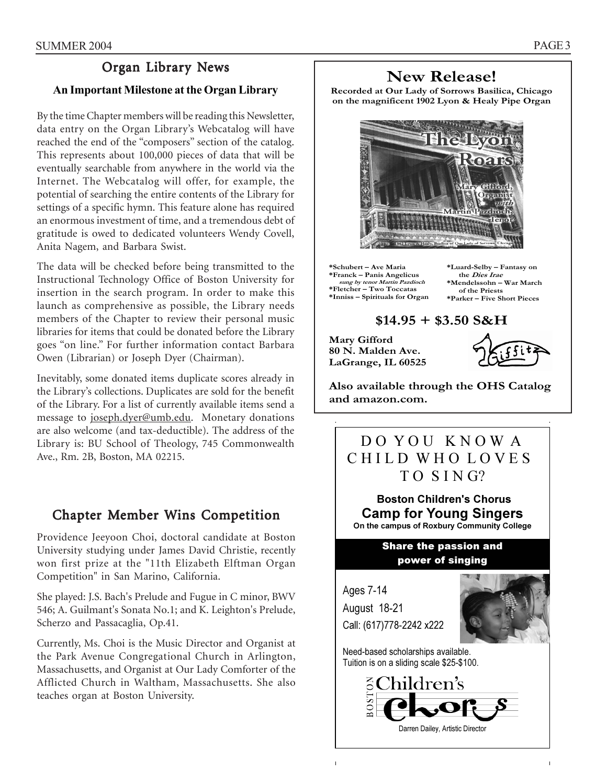### Organ Library News

### **An Important Milestone at the Organ Library**

By the time Chapter members will be reading this Newsletter, data entry on the Organ Library's Webcatalog will have reached the end of the "composers" section of the catalog. This represents about 100,000 pieces of data that will be eventually searchable from anywhere in the world via the Internet. The Webcatalog will offer, for example, the potential of searching the entire contents of the Library for settings of a specific hymn. This feature alone has required an enormous investment of time, and a tremendous debt of gratitude is owed to dedicated volunteers Wendy Covell, Anita Nagem, and Barbara Swist.

The data will be checked before being transmitted to the Instructional Technology Office of Boston University for insertion in the search program. In order to make this launch as comprehensive as possible, the Library needs members of the Chapter to review their personal music libraries for items that could be donated before the Library goes "on line." For further information contact Barbara Owen (Librarian) or Joseph Dyer (Chairman).

Inevitably, some donated items duplicate scores already in the Library's collections. Duplicates are sold for the benefit of the Library. For a list of currently available items send a message to joseph.dyer@umb.edu. Monetary donations are also welcome (and tax-deductible). The address of the Library is: BU School of Theology, 745 Commonwealth Ave., Rm. 2B, Boston, MA 02215.

### Chapter Member Wins Competition

Providence Jeeyoon Choi, doctoral candidate at Boston University studying under James David Christie, recently won first prize at the "11th Elizabeth Elftman Organ Competition" in San Marino, California.

She played: J.S. Bach's Prelude and Fugue in C minor, BWV 546; A. Guilmant's Sonata No.1; and K. Leighton's Prelude, Scherzo and Passacaglia, Op.41.

Currently, Ms. Choi is the Music Director and Organist at the Park Avenue Congregational Church in Arlington, Massachusetts, and Organist at Our Lady Comforter of the Afflicted Church in Waltham, Massachusetts. She also teaches organ at Boston University.

### **New Release!**

**Recorded at Our Lady of Sorrows Basilica, Chicago on the magnificent 1902 Lyon & Healy Pipe Organ** 



**\*Schubert – Ave Maria \*Franck – Panis Angelicus sung by tenor Martin Pazdioch \*Fletcher – Two Toccatas \*Inniss – Spirituals for Organ** **\*Luard-Selby – Fantasy on the Dies Irae \*Mendelssohn – War March of the Priests \*Parker – Five Short Pieces** 

### **\$14.95 + \$3.50 S&H**

**Mary Gifford 80 N. Malden Ave. LaGrange, IL 60525** 



**Also available through the OHS Catalog and amazon.com.** 

## D O Y O U K N O W A C H I L D W H O L O V E S T O S I N G?

 Boston Children's Chorus **Camp for Young Singers** On the campus of Roxbury Community College

> Share the passion and power of singing

ی<br>Call: (617)778-2242 x222 Ages 7-14<br>August 18-21



Need-based scholarships available. Tuition is on a sliding scale \$25-\$100.

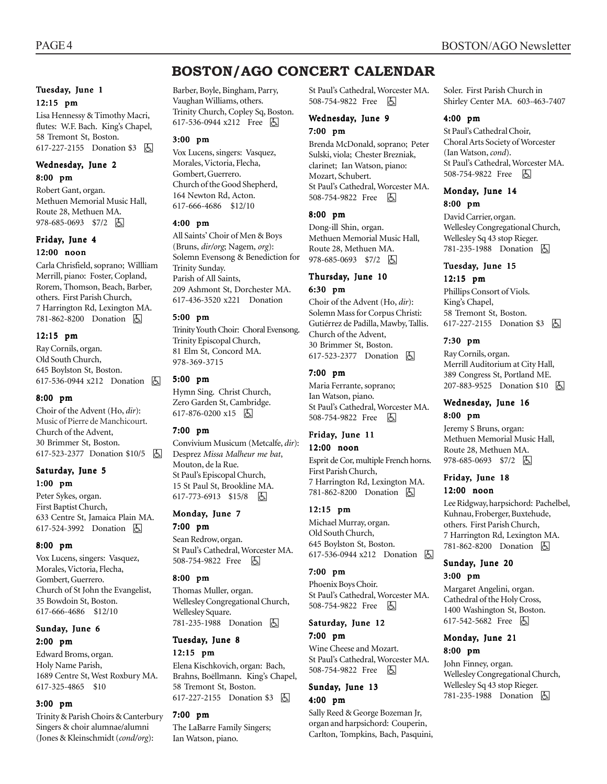### **BOSTON/AGO CONCERT CALENDAR**

#### Tuesday, June 1 12:15 pm

Lisa Hennessy & Timothy Macri, flutes: W.F. Bach. King's Chapel, 58 Tremont St, Boston. 617-227-2155 Donation \$3 h

#### Wednesday, June 2 8:00 pm

Robert Gant, organ. Methuen Memorial Music Hall, Route 28, Methuen MA. 978-685-0693 \$7/2 | 4

#### Friday, June 4 12:00 noon

Carla Chrisfield, soprano; Willliam Merrill, piano: Foster, Copland, Rorem, Thomson, Beach, Barber, others. First Parish Church, 7 Harrington Rd, Lexington MA. 781-862-8200 Donation h

#### 12:15 pm

Ray Cornils, organ. Old South Church, 645 Boylston St, Boston. 617-536-0944 x212 Donation h

#### 8:00 pm

Choir of the Advent (Ho, *dir*): Music of Pierre de Manchicourt. Church of the Advent, 30 Brimmer St, Boston. 617-523-2377 Donation \$10/5 | A

#### Saturday, June 5 1:00 pm

Peter Sykes, organ. First Baptist Church, 633 Centre St, Jamaica Plain MA. 617-524-3992 Donation  $\boxed{6}$ 

#### 8:00 pm

Vox Lucens, singers: Vasquez, Morales, Victoria, Flecha, Gombert, Guerrero. Church of St John the Evangelist, 35 Bowdoin St, Boston. 617-666-4686 \$12/10

#### Sunday, June 6 2:00 pm

Edward Broms, organ. Holy Name Parish, 1689 Centre St, West Roxbury MA. 617-325-4865 \$10

#### 3:00 pm

Trinity & Parish Choirs & Canterbury Singers & choir alumnae/alumni (Jones & Kleinschmidt (*cond/org*):

Barber, Boyle, Bingham, Parry, Vaughan Williams, others. Trinity Church, Copley Sq, Boston. 617-536-0944 x212 Free 因

#### 3:00 pm

Vox Lucens, singers: Vasquez, Morales, Victoria, Flecha, Gombert, Guerrero. Church of the Good Shepherd, 164 Newton Rd, Acton. 617-666-4686 \$12/10

#### 4:00 pm

All Saints' Choir of Men & Boys (Bruns, *dir/org*; Nagem, *org*): Solemn Evensong & Benediction for Trinity Sunday. Parish of All Saints, 209 Ashmont St, Dorchester MA. 617-436-3520 x221 Donation

#### 5:00 pm

Trinity Youth Choir: Choral Evensong. Trinity Episcopal Church, 81 Elm St, Concord MA. 978-369-3715

#### 5:00 pm

Hymn Sing. Christ Church, Zero Garden St, Cambridge. 617-876-0200 x15 | A

#### 7:00 pm

Convivium Musicum (Metcalfe, *dir*): Desprez *Missa Malheur me bat*, Mouton, de la Rue. St Paul's Episcopal Church, 15 St Paul St, Brookline MA. 617-773-6913 \$15/8 因

#### Monday, June 7

7:00 pm

Sean Redrow, organ. St Paul's Cathedral, Worcester MA. 508-754-9822 Free **b** 

#### 8:00 pm

Thomas Muller, organ. Wellesley Congregational Church, Wellesley Square. 781-235-1988 Donation **b** 

#### Tuesday, June 8

12:15 pm

Elena Kischkovich, organ: Bach, Brahns, Boëllmann. King's Chapel, 58 Tremont St, Boston. 617-227-2155 Donation \$3 | A

#### 7:00 pm

The LaBarre Family Singers; Ian Watson, piano.

St Paul's Cathedral, Worcester MA. 508-754-9822 Free h

#### Wednesday, June 9 7:00 pm

Brenda McDonald, soprano; Peter Sulski, viola; Chester Brezniak, clarinet; Ian Watson, piano: Mozart, Schubert. St Paul's Cathedral, Worcester MA. 508-754-9822 Free 因

#### 8:00 pm

Dong-ill Shin, organ. Methuen Memorial Music Hall, Route 28, Methuen MA. 978-685-0693 \$7/2 4

#### Thursday, June 10 6:30 pm

Choir of the Advent (Ho, *dir*): Solemn Mass for Corpus Christi: Gutiérrez de Padilla, Mawby, Tallis. Church of the Advent, 30 Brimmer St, Boston. 617-523-2377 Donation **b** 

#### 7:00 pm

Maria Ferrante, soprano; Ian Watson, piano. St Paul's Cathedral, Worcester MA. 508-754-9822 Free **囚** 

#### Friday, June 11

#### 12:00 noon

Esprit de Cor, multiple French horns. First Parish Church, 7 Harrington Rd, Lexington MA. 781-862-8200 Donation **A** 

#### 12:15 pm

Michael Murray, organ. Old South Church, 645 Boylston St, Boston. 617-536-0944 x212 Donation h

#### 7:00 pm

Phoenix Boys Choir. St Paul's Cathedral, Worcester MA. 508-754-9822 Free 因

#### Saturday, June 12 7:00 pm

Wine Cheese and Mozart. St Paul's Cathedral, Worcester MA. 508-754-9822 Free 因

#### Sunday, June 13 4:00 pm

Sally Reed & George Bozeman Jr, organ and harpsichord: Couperin, Carlton, Tompkins, Bach, Pasquini, Soler. First Parish Church in Shirley Center MA. 603-463-7407

#### 4:00 pm

St Paul's Cathedral Choir, Choral Arts Society of Worcester (Ian Watson, *cond*). St Paul's Cathedral, Worcester MA. 508-754-9822 Free 因

#### Monday, June 14 8:00 pm

David Carrier, organ. Wellesley Congregational Church, Wellesley Sq 43 stop Rieger. 781-235-1988 Donation **囚** 

#### Tuesday, June 15

#### 12:15 pm

Phillips Consort of Viols. King's Chapel, 58 Tremont St, Boston. 617-227-2155 Donation \$3 因

#### 7:30 pm

Ray Cornils, organ. Merrill Auditorium at City Hall, 389 Congress St, Portland ME. 207-883-9525 Donation \$10 | 4

#### Wednesday, June 16 8:00 pm

Jeremy S Bruns, organ: Methuen Memorial Music Hall, Route 28, Methuen MA. 978-685-0693 \$7/2 6

#### Friday, June 18 12:00 noon

Lee Ridgway, harpsichord: Pachelbel, Kuhnau, Froberger, Buxtehude, others. First Parish Church, 7 Harrington Rd, Lexington MA. 781-862-8200 Donation h

#### Sunday, June 20 3:00 pm

Margaret Angelini, organ. Cathedral of the Holy Cross, 1400 Washington St, Boston. 617-542-5682 Free [5]

#### Monday, June 21 8:00 pm

John Finney, organ. Wellesley Congregational Church, Wellesley Sq 43 stop Rieger. 781-235-1988 Donation  $\Box$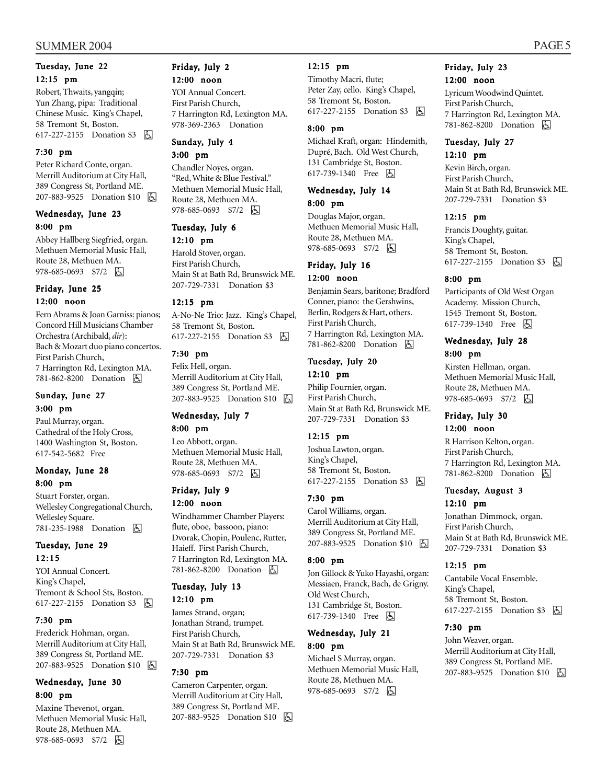### Tuesday, June 22 12:15 pm

Robert, Thwaits, yangqin; Yun Zhang, pipa: Traditional Chinese Music. King's Chapel, 58 Tremont St, Boston. 617-227-2155 Donation \$3 **b** 

#### 7:30 pm

Peter Richard Conte, organ. Merrill Auditorium at City Hall, 389 Congress St, Portland ME. 207-883-9525 Donation \$10 **b** 

#### Wednesday, June 23 8:00 pm

Abbey Hallberg Siegfried, organ. Methuen Memorial Music Hall, Route 28, Methuen MA. 978-685-0693 \$7/2 | 4

#### Friday, June 25 12:00 noon

Fern Abrams & Joan Garniss: pianos; Concord Hill Musicians Chamber Orchestra (Archibald, *dir*): Bach & Mozart duo piano concertos. First Parish Church, 7 Harrington Rd, Lexington MA. 781-862-8200 Donation **b** 

#### Sunday, June 27 3:00 pm

Paul Murray, organ. Cathedral of the Holy Cross, 1400 Washington St, Boston. 617-542-5682 Free

#### Monday, June 28 8:00 pm

Stuart Forster, organ. Wellesley Congregational Church, Wellesley Square. 781-235-1988 Donation **A** 

#### Tuesday, June 29 12:15

YOI Annual Concert. King's Chapel, Tremont & School Sts, Boston. 617-227-2155 Donation \$3 **b** 

#### 7:30 pm

Frederick Hohman, organ. Merrill Auditorium at City Hall, 389 Congress St, Portland ME. 207-883-9525 Donation \$10 **b** 

#### Wednesday, June 30 8:00 pm

Maxine Thevenot, organ. Methuen Memorial Music Hall, Route 28, Methuen MA. 978-685-0693 \$7/2 6

#### Friday, July 2 12:00 noon

YOI Annual Concert. First Parish Church, 7 Harrington Rd, Lexington MA. 978-369-2363 Donation

### Sunday, July 4

### 3:00 pm

Chandler Noyes, organ. "Red, White & Blue Festival." Methuen Memorial Music Hall, Route 28, Methuen MA. 978-685-0693 \$7/2 6

### Tuesday, July 6

12:10 pm

Harold Stover, organ. First Parish Church, Main St at Bath Rd, Brunswick ME. 207-729-7331 Donation \$3

#### 12:15 pm

A-No-Ne Trio: Jazz. King's Chapel, 58 Tremont St, Boston. 617-227-2155 Donation \$3 因

#### 7:30 pm

Felix Hell, organ. Merrill Auditorium at City Hall, 389 Congress St, Portland ME. 207-883-9525 Donation \$10 | A

#### Wednesday, July 7 8:00 pm

Leo Abbott, organ. Methuen Memorial Music Hall, Route 28, Methuen MA. 978-685-0693 \$7/2 6

### Friday, July 9

12:00 noon

Windhammer Chamber Players: flute, oboe, bassoon, piano: Dvorak, Chopin, Poulenc, Rutter, Haieff. First Parish Church, 7 Harrington Rd, Lexington MA. 781-862-8200 Donation **b** 

#### Tuesday, July 13

#### 12:10 pm

James Strand, organ; Jonathan Strand, trumpet. First Parish Church, Main St at Bath Rd, Brunswick ME. 207-729-7331 Donation \$3

#### 7:30 pm

Cameron Carpenter, organ. Merrill Auditorium at City Hall, 389 Congress St, Portland ME. 207-883-9525 Donation \$10 **b** 

#### 12:15 pm

Timothy Macri, flute; Peter Zay, cello. King's Chapel, 58 Tremont St, Boston. 617-227-2155 Donation \$3 | A

#### 8:00 pm

Michael Kraft, organ: Hindemith, Dupré, Bach. Old West Church, 131 Cambridge St, Boston. 617-739-1340 Free 因

#### Wednesday, July 14

8:00 pm

Douglas Major, organ. Methuen Memorial Music Hall, Route 28, Methuen MA. 978-685-0693 \$7/2 | 4

#### Friday, July 16 12:00 noon

Benjamin Sears, baritone; Bradford Conner, piano: the Gershwins, Berlin, Rodgers & Hart, others. First Parish Church, 7 Harrington Rd, Lexington MA. 781-862-8200 Donation **囚** 

#### Tuesday, July 20

12:10 pm Philip Fournier, organ. First Parish Church, Main St at Bath Rd, Brunswick ME. 207-729-7331 Donation \$3

#### 12:15 pm

Joshua Lawton, organ. King's Chapel, 58 Tremont St, Boston. 617-227-2155 Donation \$3 h

#### 7:30 pm

Carol Williams, organ. Merrill Auditorium at City Hall, 389 Congress St, Portland ME. 207-883-9525 Donation \$10 | A

#### 8:00 pm

Jon Gillock & Yuko Hayashi, organ: Messiaen, Franck, Bach, de Grigny. Old West Church, 131 Cambridge St, Boston. 617-739-1340 Free  $\Box$ 

#### Wednesday, July 21 8:00 pm

Michael S Murray, organ. Methuen Memorial Music Hall, Route 28, Methuen MA. 978-685-0693 \$7/2 因

### Friday, July 23

12:00 noon

Lyricum Woodwind Quintet. First Parish Church, 7 Harrington Rd, Lexington MA. 781-862-8200 Donation **b** 

#### Tuesday, July 27 12:10 pm

Kevin Birch, organ. First Parish Church, Main St at Bath Rd, Brunswick ME. 207-729-7331 Donation \$3

#### 12:15 pm

Francis Doughty, guitar. King's Chapel, 58 Tremont St, Boston. 617-227-2155 Donation \$3 **b** 

#### 8:00 pm

Participants of Old West Organ Academy. Mission Church, 1545 Tremont St, Boston. 617-739-1340 Free 因

#### Wednesday, July 28 8:00 pm

Kirsten Hellman, organ. Methuen Memorial Music Hall, Route 28, Methuen MA. 978-685-0693 \$7/2 | 4

#### Friday, July 30 12:00 noon

R Harrison Kelton, organ. First Parish Church, 7 Harrington Rd, Lexington MA. 781-862-8200 Donation  $\Box$ 

#### Tuesday, August 3 12:10 pm

Jonathan Dimmock, organ. First Parish Church, Main St at Bath Rd, Brunswick ME. 207-729-7331 Donation \$3

#### 12:15 pm

Cantabile Vocal Ensemble. King's Chapel, 58 Tremont St, Boston. 617-227-2155 Donation \$3 **b** 

#### 7:30 pm

John Weaver, organ. Merrill Auditorium at City Hall, 389 Congress St, Portland ME. 207-883-9525 Donation \$10 | A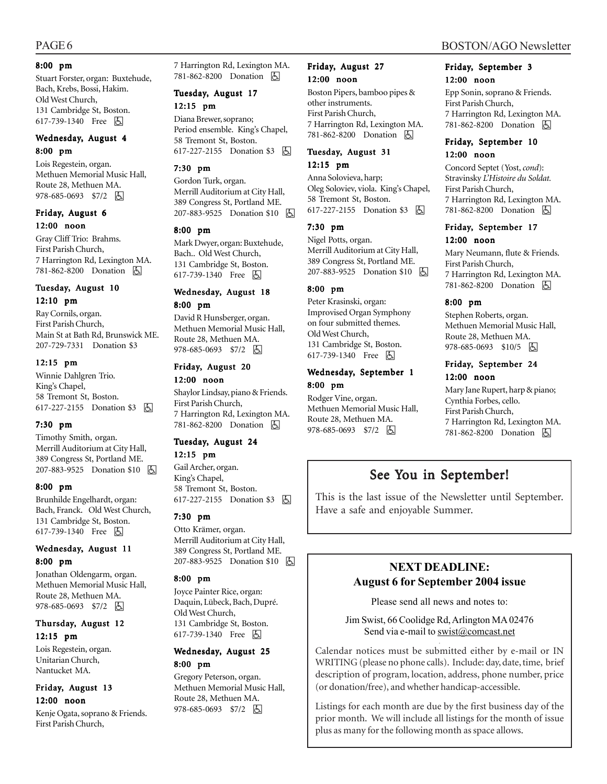#### 8:00 pm

Stuart Forster, organ: Buxtehude, Bach, Krebs, Bossi, Hakim. Old West Church, 131 Cambridge St, Boston. 617-739-1340 Free 因

#### Wednesday, August 4 8:00 pm

Lois Regestein, organ. Methuen Memorial Music Hall, Route 28, Methuen MA. 978-685-0693 \$7/2 | 4

#### Friday, August 6 12:00 noon

Gray Cliff Trio: Brahms. First Parish Church, 7 Harrington Rd, Lexington MA. 781-862-8200 Donation **b** 

#### Tuesday, August 10 12:10 pm

Ray Cornils, organ. First Parish Church, Main St at Bath Rd, Brunswick ME. 207-729-7331 Donation \$3

#### 12:15 pm

Winnie Dahlgren Trio. King's Chapel, 58 Tremont St, Boston. 617-227-2155 Donation \$3 固

#### 7:30 pm

Timothy Smith, organ. Merrill Auditorium at City Hall, 389 Congress St, Portland ME. 207-883-9525 Donation \$10 | A

#### 8:00 pm

Brunhilde Engelhardt, organ: Bach, Franck. Old West Church, 131 Cambridge St, Boston. 617-739-1340 Free **b** 

#### Wednesday, August 11 8:00 pm

Jonathan Oldengarm, organ. Methuen Memorial Music Hall, Route 28, Methuen MA. 978-685-0693 \$7/2 4

#### Thursday, August 12 12:15 pm

Lois Regestein, organ. Unitarian Church, Nantucket MA.

#### Friday, August 13 12:00 noon

Kenje Ogata, soprano & Friends. First Parish Church,

7 Harrington Rd, Lexington MA. 781-862-8200 Donation **b** 

#### Tuesday, August 17

#### 12:15 pm

Diana Brewer, soprano; Period ensemble. King's Chapel, 58 Tremont St, Boston. 617-227-2155 Donation \$3 因

#### 7:30 pm

Gordon Turk, organ. Merrill Auditorium at City Hall, 389 Congress St, Portland ME. 207-883-9525 Donation \$10 | A

#### 8:00 pm

Mark Dwyer, organ: Buxtehude, Bach.. Old West Church, 131 Cambridge St, Boston. 617-739-1340 Free 因

#### Wednesday, August 18 8:00 pm

David R Hunsberger, organ. Methuen Memorial Music Hall, Route 28, Methuen MA. 978-685-0693 \$7/2 | 4

#### Friday, August 20 12:00 noon

Shaylor Lindsay, piano & Friends. First Parish Church, 7 Harrington Rd, Lexington MA. 781-862-8200 Donation **A** 

#### Tuesday, August 24 12:15 pm

Gail Archer, organ. King's Chapel, 58 Tremont St, Boston. 617-227-2155 Donation \$3 因

#### 7:30 pm

Otto Krämer, organ. Merrill Auditorium at City Hall, 389 Congress St, Portland ME. 207-883-9525 Donation \$10 | A

#### 8:00 pm

Joyce Painter Rice, organ: Daquin, Lübeck, Bach, Dupré. Old West Church, 131 Cambridge St, Boston. 617-739-1340 Free 因

#### Wednesday, August 25 8:00 pm

Gregory Peterson, organ. Methuen Memorial Music Hall, Route 28, Methuen MA. 978-685-0693 \$7/2 4

#### Friday, August 27 12:00 noon

Boston Pipers, bamboo pipes & other instruments. First Parish Church, 7 Harrington Rd, Lexington MA. 781-862-8200 Donation **A** 

#### Tuesday, August 31 12:15 pm

Anna Solovieva, harp; Oleg Soloviev, viola. King's Chapel, 58 Tremont St, Boston. 617-227-2155 Donation \$3 **b** 

#### 7:30 pm

Nigel Potts, organ. Merrill Auditorium at City Hall, 389 Congress St, Portland ME. 207-883-9525 Donation \$10 因

#### 8:00 pm

Peter Krasinski, organ: Improvised Organ Symphony on four submitted themes. Old West Church, 131 Cambridge St, Boston. 617-739-1340 Free **b** 

#### Wednesday, September 1 8:00 pm

Rodger Vine, organ. Methuen Memorial Music Hall, Route 28, Methuen MA. 978-685-0693 \$7/2 4

### See You in September!

This is the last issue of the Newsletter until September. Have a safe and enjoyable Summer.

#### **NEXT DEADLINE: August 6 for September 2004 issue**

Please send all news and notes to:

Jim Swist, 66 Coolidge Rd, Arlington MA 02476 Send via e-mail to swist@comcast.net

Calendar notices must be submitted either by e-mail or IN WRITING (please no phone calls). Include: day, date, time, brief description of program, location, address, phone number, price (or donation/free), and whether handicap-accessible.

Listings for each month are due by the first business day of the prior month. We will include all listings for the month of issue plus as many for the following month as space allows.

#### PAGE 6 BOSTON/AGO Newsletter

#### Friday, September 3 12:00 noon

Epp Sonin, soprano & Friends. First Parish Church, 7 Harrington Rd, Lexington MA. 781-862-8200 Donation **b** 

#### Friday, September 10 12:00 noon

Concord Septet (Yost, *cond*): Stravinsky *L'Histoire du Soldat.* First Parish Church, 7 Harrington Rd, Lexington MA. 781-862-8200 Donation **b** 

#### Friday, September 17 12:00 noon

Mary Neumann, flute & Friends. First Parish Church, 7 Harrington Rd, Lexington MA. 781-862-8200 Donation **b** 

#### 8:00 pm

Stephen Roberts, organ. Methuen Memorial Music Hall, Route 28, Methuen MA. 978-685-0693 \$10/5 因

#### Friday, September 24 12:00 noon

Mary Jane Rupert, harp & piano; Cynthia Forbes, cello. First Parish Church, 7 Harrington Rd, Lexington MA. 781-862-8200 Donation **b**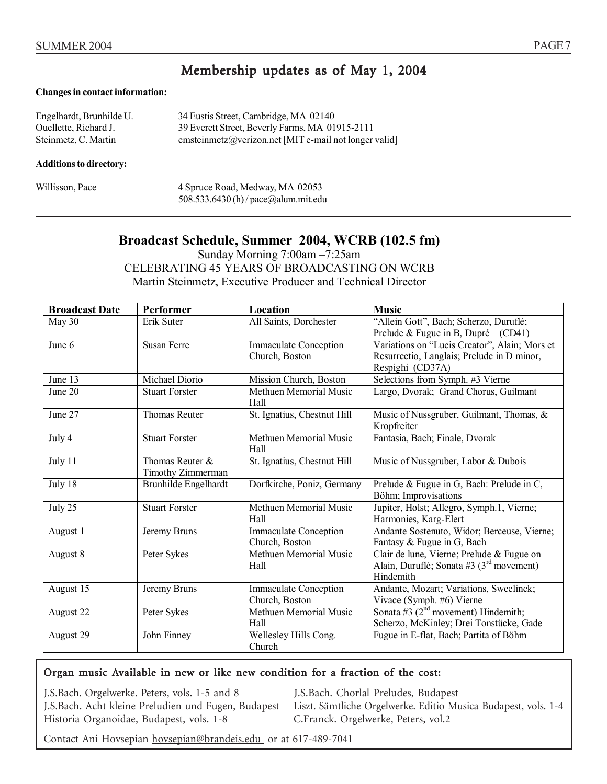### Membership updates as of May 1, 2004

#### **Changes in contact information:**

| Engelhardt, Brunhilde U. | 34 Eustis Street, Cambridge, MA 02140                 |
|--------------------------|-------------------------------------------------------|
| Ouellette, Richard J.    | 39 Everett Street, Beverly Farms, MA 01915-2111       |
| Steinmetz, C. Martin     | cmsteinmetz@verizon.net [MIT e-mail not longer valid] |

#### **Additions to directory:**

 $\overline{a}$ 

Willisson, Pace 4 Spruce Road, Medway, MA 02053 508.533.6430 (h) / pace@alum.mit.edu

### **Broadcast Schedule, Summer 2004, WCRB (102.5 fm)**

Sunday Morning 7:00am –7:25am CELEBRATING 45 YEARS OF BROADCASTING ON WCRB Martin Steinmetz, Executive Producer and Technical Director

| <b>Broadcast Date</b> | Performer             | Location                       | <b>Music</b>                                  |
|-----------------------|-----------------------|--------------------------------|-----------------------------------------------|
| May 30                | Erik Suter            | All Saints, Dorchester         | "Allein Gott", Bach; Scherzo, Duruflé;        |
|                       |                       |                                | Prelude & Fugue in B, Dupré (CD41)            |
| June 6                | <b>Susan Ferre</b>    | <b>Immaculate Conception</b>   | Variations on "Lucis Creator", Alain; Mors et |
|                       |                       | Church, Boston                 | Resurrectio, Langlais; Prelude in D minor,    |
|                       |                       |                                | Respighi (CD37A)                              |
| June 13               | Michael Diorio        | Mission Church, Boston         | Selections from Symph. #3 Vierne              |
| June 20               | <b>Stuart Forster</b> | Methuen Memorial Music<br>Hall | Largo, Dvorak; Grand Chorus, Guilmant         |
| June 27               | <b>Thomas Reuter</b>  | St. Ignatius, Chestnut Hill    | Music of Nussgruber, Guilmant, Thomas, &      |
|                       |                       |                                | Kropfreiter                                   |
| July 4                | <b>Stuart Forster</b> | Methuen Memorial Music         | Fantasia, Bach; Finale, Dvorak                |
|                       |                       | Hall                           |                                               |
| July 11               | Thomas Reuter &       | St. Ignatius, Chestnut Hill    | Music of Nussgruber, Labor & Dubois           |
|                       | Timothy Zimmerman     |                                |                                               |
| July 18               | Brunhilde Engelhardt  | Dorfkirche, Poniz, Germany     | Prelude & Fugue in G, Bach: Prelude in C,     |
|                       |                       |                                | Böhm; Improvisations                          |
| July 25               | <b>Stuart Forster</b> | Methuen Memorial Music         | Jupiter, Holst; Allegro, Symph.1, Vierne;     |
|                       |                       | Hall                           | Harmonies, Karg-Elert                         |
| August 1              | Jeremy Bruns          | <b>Immaculate Conception</b>   | Andante Sostenuto, Widor; Berceuse, Vierne;   |
|                       |                       | Church, Boston                 | Fantasy & Fugue in G, Bach                    |
| August 8              | Peter Sykes           | Methuen Memorial Music         | Clair de lune, Vierne; Prelude & Fugue on     |
|                       |                       | Hall                           | Alain, Duruflé; Sonata #3 $(3rd$ movement)    |
|                       |                       |                                | Hindemith                                     |
| August 15             | Jeremy Bruns          | <b>Immaculate Conception</b>   | Andante, Mozart; Variations, Sweelinck;       |
|                       |                       | Church, Boston                 | Vivace (Symph. #6) Vierne                     |
| August 22             | Peter Sykes           | Methuen Memorial Music         | Sonata #3 $(2nd$ movement) Hindemith;         |
|                       |                       | Hall                           | Scherzo, McKinley; Drei Tonstücke, Gade       |
| August 29             | John Finney           | Wellesley Hills Cong.          | Fugue in E-flat, Bach; Partita of Böhm        |
|                       |                       | Church                         |                                               |

#### Organ music Available in new or like new condition for a fraction of the cost:

J.S.Bach. Orgelwerke. Peters, vols. 1-5 and 8 J.S.Bach. Chorlal Preludes, Budapest Historia Organoidae, Budapest, vols. 1-8 C.Franck. Orgelwerke, Peters, vol.2

J.S.Bach. Acht kleine Preludien und Fugen, Budapest Liszt. Sämtliche Orgelwerke. Editio Musica Budapest, vols. 1-4

Contact Ani Hovsepian hovsepian@brandeis.edu or at 617-489-7041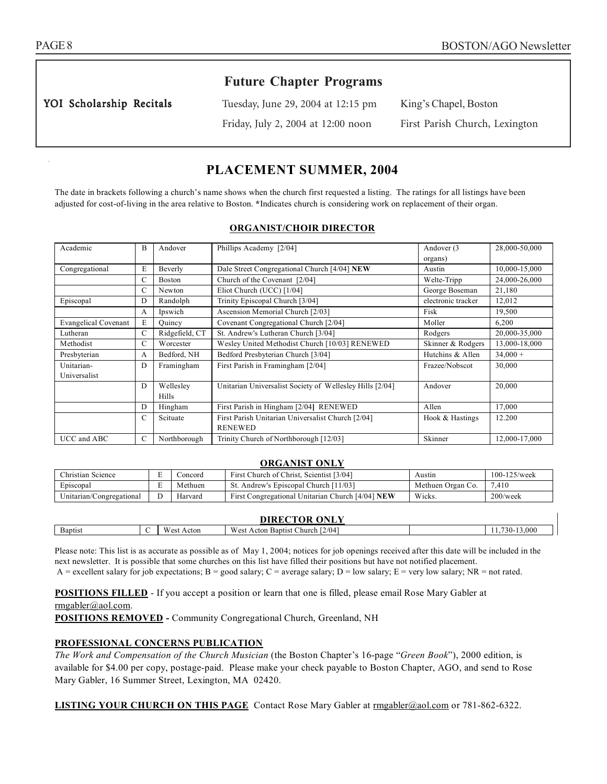### **Future Chapter Programs**

**YOI Scholarship Recitals** Tuesday, June 29, 2004 at 12:15 pm King's Chapel, Boston

Friday, July 2, 2004 at 12:00 noon First Parish Church, Lexington

### **PLACEMENT SUMMER, 2004**

The date in brackets following a church's name shows when the church first requested a listing. The ratings for all listings have been adjusted for cost-of-living in the area relative to Boston. **\***Indicates church is considering work on replacement of their organ.

#### **ORGANIST/CHOIR DIRECTOR**

| Academic                    | B              |                |                                                          |                    |               |
|-----------------------------|----------------|----------------|----------------------------------------------------------|--------------------|---------------|
|                             |                | Andover        | Phillips Academy [2/04]                                  | Andover (3)        | 28,000-50,000 |
|                             |                |                |                                                          | organs)            |               |
| Congregational              | E              | Beverly        | Dale Street Congregational Church [4/04] NEW             | Austin             | 10,000-15,000 |
|                             | C              | <b>Boston</b>  | Church of the Covenant [2/04]                            | Welte-Tripp        | 24,000-26,000 |
|                             | C              | Newton         | Eliot Church (UCC) [1/04]                                | George Boseman     | 21,180        |
| Episcopal                   | D              | Randolph       | Trinity Episcopal Church [3/04]                          | electronic tracker | 12,012        |
|                             | А              | Ipswich        | Ascension Memorial Church [2/03]                         | Fisk               | 19,500        |
| <b>Evangelical Covenant</b> | E              | Quincy         | Covenant Congregational Church [2/04]                    | Moller             | 6,200         |
| Lutheran                    | $\mathcal{C}$  | Ridgefield, CT | St. Andrew's Lutheran Church [3/04]                      | Rodgers            | 20,000-35,000 |
| Methodist                   | C              | Worcester      | Wesley United Methodist Church [10/03] RENEWED           | Skinner & Rodgers  | 13,000-18,000 |
| Presbyterian                | А              | Bedford, NH    | Bedford Presbyterian Church [3/04]                       | Hutchins & Allen   | $34.000 +$    |
| Unitarian-                  | D              | Framingham     | First Parish in Framingham [2/04]                        | Frazee/Nobscot     | 30,000        |
| Universalist                |                |                |                                                          |                    |               |
|                             | D              | Wellesley      | Unitarian Universalist Society of Wellesley Hills [2/04] | Andover            | 20,000        |
|                             |                | Hills          |                                                          |                    |               |
|                             | D              | Hingham        | First Parish in Hingham [2/04] RENEWED                   | Allen              | 17,000        |
|                             | C              | Scituate       | First Parish Unitarian Universalist Church [2/04]        | Hook & Hastings    | 12.200        |
|                             |                |                | <b>RENEWED</b>                                           |                    |               |
| UCC and ABC                 | $\overline{C}$ | Northborough   | Trinity Church of Northborough [12/03]                   | Skinner            | 12,000-17,000 |

#### **ORGANIST ONLY**

| Christian Science        |  | Concord | First Church of Christ. Scientist [3/04]         | Austın            | $100 - 125$ /week |
|--------------------------|--|---------|--------------------------------------------------|-------------------|-------------------|
| Episcopal                |  | Methuer | St. Andrew's Episcopal Church [11/03]            | Methuen Organ Co. | .410              |
| Unitarian/Congregational |  | Harvard | First Congregational Unitarian Church [4/04] NEW | Wicks.            | $200$ /week       |

| <b>DIRECTOR ONLY</b> |               |               |                                                  |  |                                         |  |  |
|----------------------|---------------|---------------|--------------------------------------------------|--|-----------------------------------------|--|--|
| Baptist              | $\sim$<br>. . | West<br>Acton | Church [2/04]<br>West $\lambda$<br>Acton Baptist |  | $-13,000$<br>730-<br>$\cdot$ 1. $\cdot$ |  |  |

Please note: This list is as accurate as possible as of May 1, 2004; notices for job openings received after this date will be included in the next newsletter. It is possible that some churches on this list have filled their positions but have not notified placement. A = excellent salary for job expectations; B = good salary; C = average salary; D = low salary; E = very low salary; NR = not rated.

**POSITIONS FILLED** - If you accept a position or learn that one is filled, please email Rose Mary Gabler at

rmgabler@aol.com.

**POSITIONS REMOVED -** Community Congregational Church, Greenland, NH

#### **PROFESSIONAL CONCERNS PUBLICATION**

*The Work and Compensation of the Church Musician* (the Boston Chapter's 16-page "*Green Book*"), 2000 edition, is available for \$4.00 per copy, postage-paid. Please make your check payable to Boston Chapter, AGO, and send to Rose Mary Gabler, 16 Summer Street, Lexington, MA 02420.

**LISTING YOUR CHURCH ON THIS PAGE** Contact Rose Mary Gabler at rmgabler@aol.com or 781-862-6322.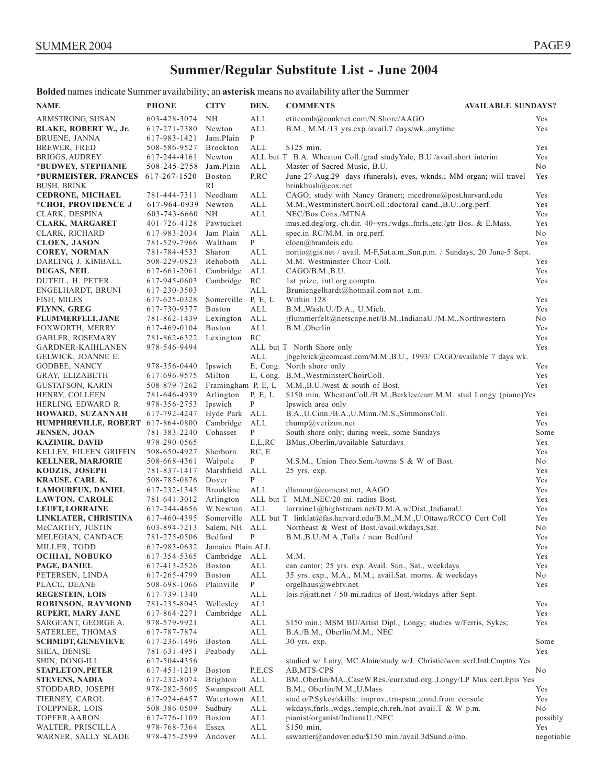### **Summer/Regular Substitute List - June 2004**

**Bolded** names indicate Summer availability; an **asterisk** means no availability after the Summer

| <b>NAME</b>                             | <b>PHONE</b>                 | <b>CITY</b>         | DEN.       | <b>COMMENTS</b><br><b>AVAILABLE SUNDAYS?</b>                              |            |
|-----------------------------------------|------------------------------|---------------------|------------|---------------------------------------------------------------------------|------------|
| ARMSTRONG, SUSAN                        | 603-428-3074                 | NH                  | ALL        | etitcomb@conknet.com/N.Shore/AAGO                                         | Yes        |
| BLAKE, ROBERT W., Jr.                   | 617-271-7380                 | Newton              | ALL        | B.M., M.M./13 yrs.exp./avail.7 days/wk.,anytime                           | Yes        |
| BRUENE, JANNA                           | 617-983-1421                 | Jam.Plain           | P          |                                                                           |            |
| BREWER, FRED                            | 508-586-9527                 | Brockton            | ALL        | $$125$ min.                                                               | Yes        |
| BRIGGS, AUDREY                          | 617-244-4161                 | Newton              |            | ALL but T B.A. Wheaton Coll./grad studyYale, B.U./avail.short interim     | Yes        |
| *BUDWEY, STEPHANIE                      | 508-245-2758                 | Jam.Plain           | ALL        | Master of Sacred Music, B.U.                                              | No         |
| *BURMEISTER, FRANCES                    | 617-267-1520                 | Boston              | P,RC       | June 27-Aug.29 days (funerals), eves, wknds.; MM organ; will travel       | Yes        |
| BUSH, BRINK                             |                              | RI                  |            | brinkbush@cox.net                                                         |            |
| CEDRONE, MICHAEL                        | 781-444-7311                 | Needham             | ALL        | CAGO; study with Nancy Granert; mcedrone@post.harvard.edu                 | Yes        |
| *CHOI, PROVIDENCE J                     | 617-964-0939                 | Newton              | ALL        | M.M., WestminsterChoirColl.; doctoral cand., B.U., org.perf.              | Yes        |
| CLARK, DESPINA                          | 603-743-6660                 | ΝH                  | ALL        | NEC/Bos.Cons./MTNA                                                        | Yes        |
| <b>CLARK, MARGARET</b>                  | 401-726-4128                 | Pawtucket           |            | mus.ed.deg/org.-ch.dir. 40+yrs./wdgs.,fnrls.,etc./gtr Bos. & E.Mass.      | Yes        |
| CLARK, RICHARD                          | 617-983-2034                 | Jam Plain           | ALL        | spec.in RC/M.M. in org.perf.                                              | No         |
| <b>CLOEN, JASON</b>                     | 781-529-7966                 | Waltham             | P          | cloen@brandeis.edu                                                        | Yes        |
| <b>COREY, NORMAN</b>                    | 781-784-4533                 | Sharon              | ALL        | norijo@gis.net / avail. M-F,Sat.a.m.,Sun.p.m. / Sundays, 20 June-5 Sept.  |            |
| DARLING, J. KIMBALL                     | 508-229-0823                 | Rehoboth            | ALL        | M.M. Westminster Choir Coll.                                              | Yes        |
| DUGAS, NEIL                             | 617-661-2061                 | Cambridge           | ALL        | CAGO/B.M., B.U.                                                           | Yes        |
| DUTEIL, H. PETER                        | 617-945-0603                 | Cambridge           | RC         | 1st prize, intl.org.comptn.                                               | Yes        |
| ENGELHARDT, BRUNI                       | 617-230-3503<br>617-625-0328 | Somerville P, E, L  | ALL        | Bruniengelhardt@hotmail.com not a.m.                                      | Yes        |
| FISH, MILES                             |                              | Boston              | ALL        | Within 128<br>B.M., Wash.U./D.A., U.Mich.                                 | Yes        |
| FLYNN, GREG<br><b>FLUMMERFELT, JANE</b> | 617-730-9377<br>781-862-1439 | Lexington           | ALL        | jflummerfelt@netscape.net/B.M.,IndianaU./M.M.,Northwestern                | No         |
| FOXWORTH, MERRY                         | 617-469-0104                 | <b>Boston</b>       | ALL        | B.M., Oberlin                                                             | Yes        |
| <b>GABLER, ROSEMARY</b>                 | 781-862-6322                 | Lexington           | RC         |                                                                           | Yes        |
| GARDNER-KAIHLANEN                       | 978-546-9494                 |                     |            | ALL but T North Shore only                                                | Yes        |
| GELWICK, JOANNE E.                      |                              |                     | ALL        | jbgelwick@comcast.com/M.M.,B.U., 1993/ CAGO/available 7 days wk.          |            |
| GODBEE, NANCY                           | 978-356-0440                 | Ipswich             |            | E, Cong. North shore only                                                 | Yes        |
| GRAY, ELIZABETH                         | 617-696-9575                 | Milton              |            | E, Cong. B.M., WestminsterChoirColl.                                      | Yes        |
| GUSTAFSON, KARIN                        | 508-879-7262                 | Framingham P, E, L  |            | M.M., B.U./west & south of Bost.                                          | Yes        |
| HENRY, COLLEEN                          | 781-646-4939                 | Arlington           | P, E, L    | \$150 min, WheatonColl./B.M., Berklee/curr.M.M. stud Longy (piano)Yes     |            |
| HERLING, EDWARD R.                      | 978-356-2753                 | Ipswich             | P          | Ipswich area only                                                         |            |
| <b>HOWARD, SUZANNAH</b>                 | 617-792-4247                 | Hyde Park           | ALL        | B.A., U.Cinn./B.A., U.Minn./M.S., SimmonsColl.                            | Yes        |
| HUMPHREVILLE, ROBERT 617-864-0800       |                              | Cambridge           | ALL        | $r$ hump@verizon.net                                                      | Yes        |
| <b>JENSEN, JOAN</b>                     | 781-383-2240                 | Cohasset            | P          | South shore only; during week, some Sundays                               | Some       |
| <b>KAZIMIR, DAVID</b>                   | 978-290-0565                 |                     | E,L,RC     | BMus., Oberlin,/available Saturdays                                       | Yes        |
| KELLEY, EILEEN GRIFFIN                  | 508-650-4927                 | Sherborn            | RC, E      |                                                                           | Yes        |
| <b>KELLNER, MARJORIE</b>                | 508-668-4361                 | Walpole             | P          | M.S.M., Union Theo.Sem./towns S & W of Bost.                              | No         |
| KODZIS, JOSEPH                          | 781-837-1417                 | Marshfield          | ALL        | 25 yrs. exp.                                                              | Yes        |
| <b>KRAUSE, CARL K.</b>                  | 508-785-0876                 | Dover               | P          |                                                                           | Yes        |
| <b>LAMOUREUX, DANIEL</b>                | 617-232-1345                 | <b>Brookline</b>    | ALL        | dlamour@comcast.net, AAGO                                                 | Yes        |
| <b>LAWTON, CAROLE</b>                   | 781-641-3012                 | Arlington           |            | ALL but T M.M., NEC/20-mi. radius Bost.                                   | Yes        |
| <b>LEUFT, LORRAINE</b>                  | 617-244-4656                 | W.Newton            | ALL        | lorraine1@highstream.net/D.M.A.w/Dist.,IndianaU.                          | Yes        |
| LINKLATER, CHRISTINA                    | 617-460-4395                 | Somerville          |            | ALL but T linklat@fas.harvard.edu/B.M.,M.M.,U.Ottawa/RCCO Cert Coll       | Yes        |
| McCARTHY, JUSTIN                        | 603-894-7213                 | Salem, NH           | ALL        | Northeast & West of Bost./avail.wkdays,Sat.                               | No         |
| MELEGIAN, CANDACE                       | 781-275-0506                 | Bedford             | P          | B.M., B.U./M.A., Tufts / near Bedford                                     | Yes        |
| MILLER, TODD                            | 617-983-0632                 | Jamaica Plain ALL   |            |                                                                           | Yes        |
| OCHIAI, NOBUKO                          | 617-354-5365                 | Cambridge<br>Boston | ALL<br>ALL | M.M.<br>can cantor; 25 yrs. exp. Avail. Sun., Sat., weekdays              | Yes<br>Yes |
| PAGE, DANIEL<br>PETERSEN, LINDA         | 617-413-2526<br>617-265-4799 | Boston              | ALL        | 35 yrs. exp., M.A., M.M.; avail.Sat. morns. & weekdays                    | No         |
| PLACE, DEANE                            | 508-698-1066                 | Plainville          | P          | orgelhaus@webtv.net                                                       | Yes        |
| <b>REGESTEIN, LOIS</b>                  | 617-739-1340                 |                     | ALL        | lois.r@att.net / 50-mi.radius of Bost./wkdays after Sept.                 |            |
| <b>ROBINSON, RAYMOND</b>                | 781-235-8043                 | Wellesley           | ALL        |                                                                           | Yes        |
| <b>RUPERT, MARY JANE</b>                | 617-864-2271                 | Cambridge           | ALL        |                                                                           | Yes        |
| SARGEANT, GEORGE A.                     | 978-579-9921                 |                     | ALL        | \$150 min.; MSM BU/Artist Dipl., Longy; studies w/Ferris, Sykes;          | Yes        |
| SATERLEE, THOMAS                        | 617-787-7874                 |                     | ALL        | B.A./B.M., Oberlin/M.M., NEC                                              |            |
| <b>SCHMIDT, GENEVIEVE</b>               | 617-236-1496                 | Boston              | ALL        | 30 yrs. exp.                                                              | Some       |
| SHEA, DENISE                            | 781-631-4951                 | Peabody             | ALL        |                                                                           | Yes        |
| SHIN, DONG-ILL                          | 617-504-4356                 |                     |            | studied w/ Latry, MC.Alain/study w/J. Christie/won svrl.Intl.Cmptns Yes   |            |
| <b>STAPLETON, PETER</b>                 | 617-451-1219                 | Boston              | P, E, CS   | AB,MTS-CPS                                                                | No         |
| <b>STEVENS, NADIA</b>                   | 617-232-8074                 | Brighton            | ALL        | BM., Oberlin/MA., Case W.Res./curr.stud.org., Longy/LP Mus cert. Epis Yes |            |
| STODDARD, JOSEPH                        | 978-282-5605                 | Swampscott ALL      |            | B.M., Oberlin/M.M., U.Mass                                                | Yes        |
| TIERNEY, CAROL                          | 617-924-6457                 | Watertown           | ALL        | stud.o/P.Sykes/skills: improv.,trnspstn.,cond.from console                | Yes        |
| TOEPPNER, LOIS                          | 508-386-0509                 | Sudbury             | ALL        | wkdays, finds., wdgs., temple, ch. reh./not avail. T & W p.m.             | No         |
| TOPFER, AARON                           | 617-776-1109                 | Boston              | ALL        | pianist/organist/IndianaU./NEC                                            | possibly   |
| WALTER, PRISCILLA                       | 978-768-7364                 | Essex               | ALL        | \$150 min.                                                                | Yes        |
| WARNER, SALLY SLADE                     | 978-475-2599                 | Andover             | ALL        | sswarner@andover.edu/\$150 min./avail.3dSund.o/mo.                        | negotiable |